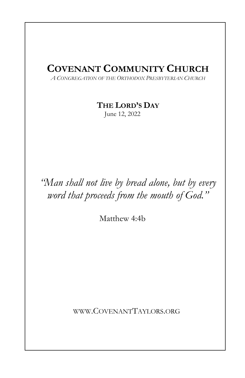# COVENANT COMMUNITY CHURCH

A CONGREGATION OF THE ORTHODOX PRESBYTERIAN CHURCH

THE LORD'S DAY

June 12, 2022

"Man shall not live by bread alone, but by every word that proceeds from the mouth of God."

Matthew 4:4b

WWW.COVENANTTAYLORS.ORG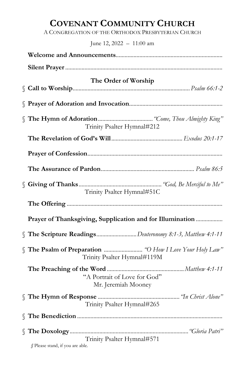# COVENANT COMMUNITY CHURCH

A CONGREGATION OF THE ORTHODOX PRESBYTERIAN CHURCH

June 12, 2022 – 11:00 am

| The Order of Worship                                      |
|-----------------------------------------------------------|
|                                                           |
| Trinity Psalter Hymnal#212                                |
|                                                           |
|                                                           |
|                                                           |
| Trinity Psalter Hymnal#51C                                |
|                                                           |
| Prayer of Thanksgiving, Supplication and for Illumination |
| The Scripture ReadingsDeuteronomy 8:1-3, Matthew 4:1-11   |
| Trinity Psalter Hymnal#119M                               |
| "A Portrait of Love for God"<br>Mr. Jeremiah Mooney       |
| Trinity Psalter Hymnal#265                                |
|                                                           |
| Trinity Psalter Hymnal#571                                |
| § Please stand, if you are able.                          |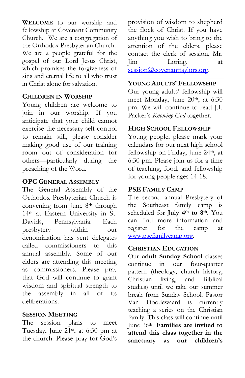WELCOME to our worship and fellowship at Covenant Community Church. We are a congregation of the Orthodox Presbyterian Church. We are a people grateful for the gospel of our Lord Jesus Christ, which promises the forgiveness of sins and eternal life to all who trust in Christ alone for salvation.

## CHILDREN IN WORSHIP

Young children are welcome to join in our worship. If you anticipate that your child cannot exercise the necessary self-control to remain still, please consider making good use of our training room out of consideration for others—particularly during the preaching of the Word.

## OPC GENERAL ASSEMBLY

The General Assembly of the Orthodox Presbyterian Church is convening from June 8<sup>th</sup> through 14th at Eastern University in St. Davids, Pennsylvania. Each presbytery within our denomination has sent delegates called commissioners to this annual assembly. Some of our elders are attending this meeting as commissioners. Please pray that God will continue to grant wisdom and spiritual strength to the assembly in all of its deliberations.

## SESSION MEETING

The session plans to meet Tuesday, June 21st, at 6:30 pm at the church. Please pray for God's provision of wisdom to shepherd the flock of Christ. If you have anything you wish to bring to the attention of the elders, please contact the clerk of session, Mr. Jim Loring, at session@covenanttaylors.org.

# YOUNG ADULTS' FELLOWSHIP

Our young adults' fellowship will meet Monday, June 20<sup>th</sup>, at 6:30 pm. We will continue to read J.I. Packer's Knowing God together.

## HIGH SCHOOL FELLOWSHIP

Young people, please mark your calendars for our next high school fellowship on Friday, June 24<sup>th</sup>, at 6:30 pm. Please join us for a time of teaching, food, and fellowship for young people ages 14-18.

## PSE FAMILY CAMP

The second annual Presbytery of the Southeast family camp is scheduled for July 4<sup>th</sup> to 8<sup>th</sup>. You can find more information and register for the camp at www.psefamilycamp.org.

## CHRISTIAN EDUCATION

Our adult Sunday School classes continue in our four-quarter pattern (theology, church history, Christian living, and Biblical studies) until we take our summer break from Sunday School. Pastor Van Doodewaard is currently teaching a series on the Christian family. This class will continue until June 26th. Families are invited to attend this class together in the sanctuary as our children's